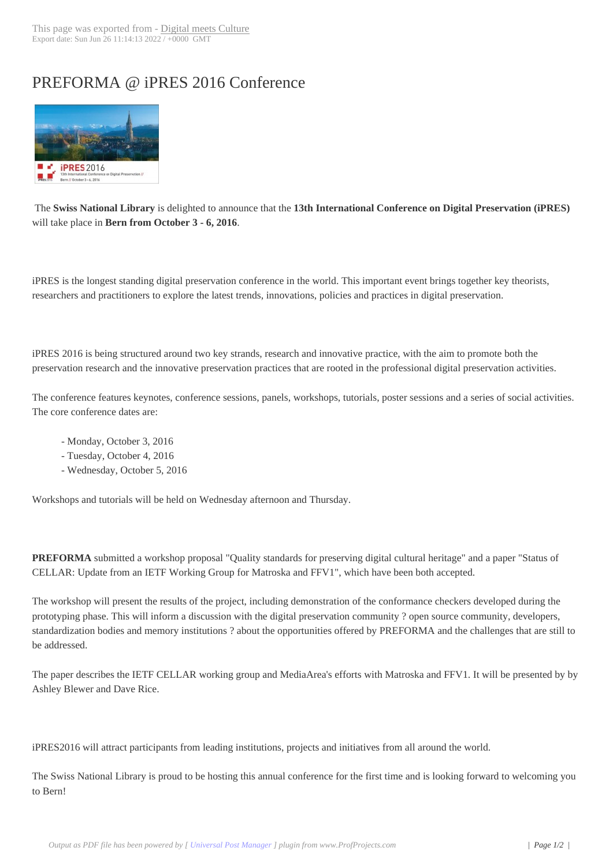## PREFORMA @ iP[RES 2016 Con](http://www.digitalmeetsculture.net/?p=40091)ference



 The **Swiss National Library** is delighted to announce that the **13th International Conference on Digital Preservation (iPRES)** will take place in **Bern from October 3 - 6, 2016**.

iPRES is the longest standing digital preservation conference in the world. This important event brings together key theorists, researchers and practitioners to explore the latest trends, innovations, policies and practices in digital preservation.

iPRES 2016 is being structured around two key strands, research and innovative practice, with the aim to promote both the preservation research and the innovative preservation practices that are rooted in the professional digital preservation activities.

The conference features keynotes, conference sessions, panels, workshops, tutorials, poster sessions and a series of social activities. The core conference dates are:

- Monday, October 3, 2016
- Tuesday, October 4, 2016
- Wednesday, October 5, 2016

Workshops and tutorials will be held on Wednesday afternoon and Thursday.

**PREFORMA** submitted a workshop proposal "Quality standards for preserving digital cultural heritage" and a paper "Status of CELLAR: Update from an IETF Working Group for Matroska and FFV1", which have been both accepted.

The workshop will present the results of the project, including demonstration of the conformance checkers developed during the prototyping phase. This will inform a discussion with the digital preservation community ? open source community, developers, standardization bodies and memory institutions ? about the opportunities offered by PREFORMA and the challenges that are still to be addressed.

The paper describes the IETF CELLAR working group and MediaArea's efforts with Matroska and FFV1. It will be presented by by Ashley Blewer and Dave Rice.

iPRES2016 will attract participants from leading institutions, projects and initiatives from all around the world.

The Swiss National Library is proud to be hosting this annual conference for the first time and is looking forward to welcoming you to Bern!